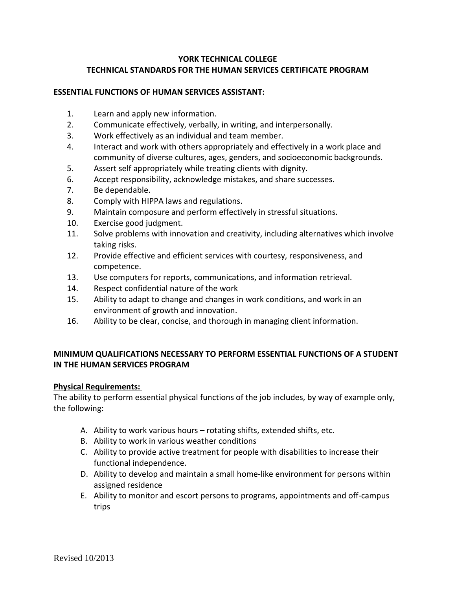# **YORK TECHNICAL COLLEGE TECHNICAL STANDARDS FOR THE HUMAN SERVICES CERTIFICATE PROGRAM**

#### **ESSENTIAL FUNCTIONS OF HUMAN SERVICES ASSISTANT:**

- 1. Learn and apply new information.
- 2. Communicate effectively, verbally, in writing, and interpersonally.
- 3. Work effectively as an individual and team member.
- 4. Interact and work with others appropriately and effectively in a work place and community of diverse cultures, ages, genders, and socioeconomic backgrounds.
- 5. Assert self appropriately while treating clients with dignity.
- 6. Accept responsibility, acknowledge mistakes, and share successes.
- 7. Be dependable.
- 8. Comply with HIPPA laws and regulations.
- 9. Maintain composure and perform effectively in stressful situations.
- 10. Exercise good judgment.
- 11. Solve problems with innovation and creativity, including alternatives which involve taking risks.
- 12. Provide effective and efficient services with courtesy, responsiveness, and competence.
- 13. Use computers for reports, communications, and information retrieval.
- 14. Respect confidential nature of the work
- 15. Ability to adapt to change and changes in work conditions, and work in an environment of growth and innovation.
- 16. Ability to be clear, concise, and thorough in managing client information.

# **MINIMUM QUALIFICATIONS NECESSARY TO PERFORM ESSENTIAL FUNCTIONS OF A STUDENT IN THE HUMAN SERVICES PROGRAM**

#### **Physical Requirements:**

The ability to perform essential physical functions of the job includes, by way of example only, the following:

- A. Ability to work various hours rotating shifts, extended shifts, etc.
- B. Ability to work in various weather conditions
- C. Ability to provide active treatment for people with disabilities to increase their functional independence.
- D. Ability to develop and maintain a small home-like environment for persons within assigned residence
- E. Ability to monitor and escort persons to programs, appointments and off-campus trips